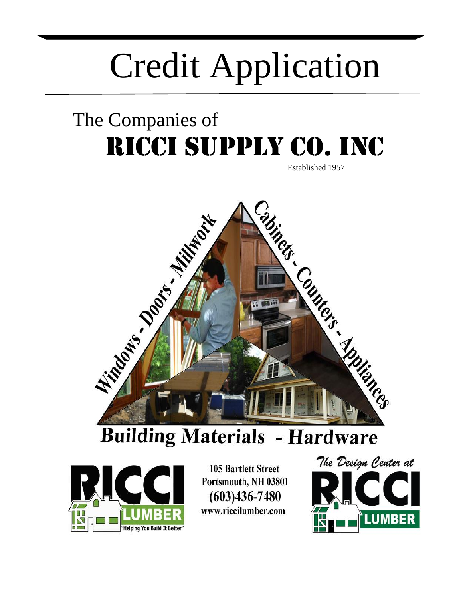# Credit Application

## The Companies of RICCI SUPPLY CO. INC

Established 1957



### **Building Materials - Hardware**



**105 Bartlett Street** Portsmouth, NH 03801  $(603)436 - 7480$ www.riccilumber.com

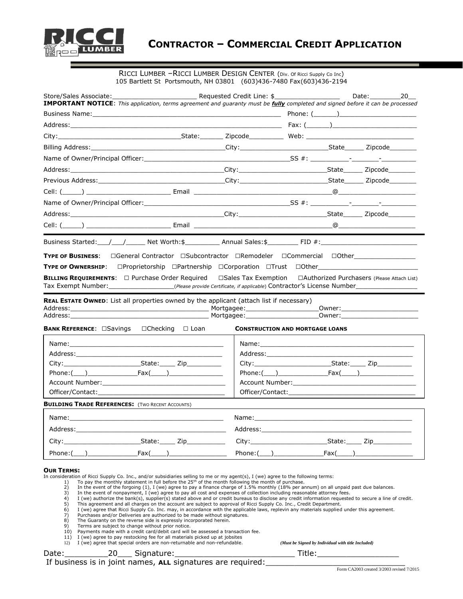

#### RICCI LUMBER –RICCI LUMBER DESIGN CENTER (Div. Of Ricci Supply Co Inc) 105 Bartlett St Portsmouth, NH 03801 (603)436-7480 Fax(603)436-2194

| Store/Sales Associate: The Contract of Requested Credit Line: \$<br><b>IMPORTANT NOTICE:</b> This application, terms agreement and guaranty must be fully completed and signed before it can be processed                                                                                                                                                                                                                   |                                                                                                                                                                                                                                                                                                                                                                                                                                                                                                                                                                                                                                                                                                                                                                                                                                                                                            |                                                                                                                                                                                                                                | Date: 20                                                                                                                                                                                                                       |
|-----------------------------------------------------------------------------------------------------------------------------------------------------------------------------------------------------------------------------------------------------------------------------------------------------------------------------------------------------------------------------------------------------------------------------|--------------------------------------------------------------------------------------------------------------------------------------------------------------------------------------------------------------------------------------------------------------------------------------------------------------------------------------------------------------------------------------------------------------------------------------------------------------------------------------------------------------------------------------------------------------------------------------------------------------------------------------------------------------------------------------------------------------------------------------------------------------------------------------------------------------------------------------------------------------------------------------------|--------------------------------------------------------------------------------------------------------------------------------------------------------------------------------------------------------------------------------|--------------------------------------------------------------------------------------------------------------------------------------------------------------------------------------------------------------------------------|
|                                                                                                                                                                                                                                                                                                                                                                                                                             |                                                                                                                                                                                                                                                                                                                                                                                                                                                                                                                                                                                                                                                                                                                                                                                                                                                                                            |                                                                                                                                                                                                                                |                                                                                                                                                                                                                                |
|                                                                                                                                                                                                                                                                                                                                                                                                                             |                                                                                                                                                                                                                                                                                                                                                                                                                                                                                                                                                                                                                                                                                                                                                                                                                                                                                            |                                                                                                                                                                                                                                |                                                                                                                                                                                                                                |
|                                                                                                                                                                                                                                                                                                                                                                                                                             |                                                                                                                                                                                                                                                                                                                                                                                                                                                                                                                                                                                                                                                                                                                                                                                                                                                                                            |                                                                                                                                                                                                                                |                                                                                                                                                                                                                                |
|                                                                                                                                                                                                                                                                                                                                                                                                                             |                                                                                                                                                                                                                                                                                                                                                                                                                                                                                                                                                                                                                                                                                                                                                                                                                                                                                            |                                                                                                                                                                                                                                |                                                                                                                                                                                                                                |
|                                                                                                                                                                                                                                                                                                                                                                                                                             |                                                                                                                                                                                                                                                                                                                                                                                                                                                                                                                                                                                                                                                                                                                                                                                                                                                                                            |                                                                                                                                                                                                                                |                                                                                                                                                                                                                                |
|                                                                                                                                                                                                                                                                                                                                                                                                                             |                                                                                                                                                                                                                                                                                                                                                                                                                                                                                                                                                                                                                                                                                                                                                                                                                                                                                            |                                                                                                                                                                                                                                |                                                                                                                                                                                                                                |
|                                                                                                                                                                                                                                                                                                                                                                                                                             |                                                                                                                                                                                                                                                                                                                                                                                                                                                                                                                                                                                                                                                                                                                                                                                                                                                                                            |                                                                                                                                                                                                                                |                                                                                                                                                                                                                                |
|                                                                                                                                                                                                                                                                                                                                                                                                                             |                                                                                                                                                                                                                                                                                                                                                                                                                                                                                                                                                                                                                                                                                                                                                                                                                                                                                            |                                                                                                                                                                                                                                |                                                                                                                                                                                                                                |
|                                                                                                                                                                                                                                                                                                                                                                                                                             |                                                                                                                                                                                                                                                                                                                                                                                                                                                                                                                                                                                                                                                                                                                                                                                                                                                                                            |                                                                                                                                                                                                                                |                                                                                                                                                                                                                                |
|                                                                                                                                                                                                                                                                                                                                                                                                                             |                                                                                                                                                                                                                                                                                                                                                                                                                                                                                                                                                                                                                                                                                                                                                                                                                                                                                            |                                                                                                                                                                                                                                |                                                                                                                                                                                                                                |
|                                                                                                                                                                                                                                                                                                                                                                                                                             |                                                                                                                                                                                                                                                                                                                                                                                                                                                                                                                                                                                                                                                                                                                                                                                                                                                                                            |                                                                                                                                                                                                                                |                                                                                                                                                                                                                                |
|                                                                                                                                                                                                                                                                                                                                                                                                                             |                                                                                                                                                                                                                                                                                                                                                                                                                                                                                                                                                                                                                                                                                                                                                                                                                                                                                            |                                                                                                                                                                                                                                |                                                                                                                                                                                                                                |
| TYPE OF OWNERSHIP: □Proprietorship □Partnership □Corporation □Trust □Other_________________________<br><b>BILLING REQUIREMENTS:</b> $\Box$ Purchase Order Required<br>Tax Exempt Number: ___________________(Please provide Certificate, if applicable) Contractor's License Number _______________                                                                                                                         |                                                                                                                                                                                                                                                                                                                                                                                                                                                                                                                                                                                                                                                                                                                                                                                                                                                                                            |                                                                                                                                                                                                                                | $\Box$ Sales Tax Exemption $\Box$ Authorized Purchasers (Please Attach List)                                                                                                                                                   |
| <b>BANK REFERENCE: Savings Checking D</b> Loan                                                                                                                                                                                                                                                                                                                                                                              |                                                                                                                                                                                                                                                                                                                                                                                                                                                                                                                                                                                                                                                                                                                                                                                                                                                                                            | <b>CONSTRUCTION AND MORTGAGE LOANS</b>                                                                                                                                                                                         | _Owner:____________________________                                                                                                                                                                                            |
|                                                                                                                                                                                                                                                                                                                                                                                                                             |                                                                                                                                                                                                                                                                                                                                                                                                                                                                                                                                                                                                                                                                                                                                                                                                                                                                                            |                                                                                                                                                                                                                                |                                                                                                                                                                                                                                |
|                                                                                                                                                                                                                                                                                                                                                                                                                             |                                                                                                                                                                                                                                                                                                                                                                                                                                                                                                                                                                                                                                                                                                                                                                                                                                                                                            |                                                                                                                                                                                                                                | Address: Analysis and the contract of the contract of the contract of the contract of the contract of the contract of the contract of the contract of the contract of the contract of the contract of the contract of the cont |
|                                                                                                                                                                                                                                                                                                                                                                                                                             |                                                                                                                                                                                                                                                                                                                                                                                                                                                                                                                                                                                                                                                                                                                                                                                                                                                                                            |                                                                                                                                                                                                                                |                                                                                                                                                                                                                                |
| $Phone: (\underline{\hspace{1cm}})$ $Fax(\underline{\hspace{1cm}})$                                                                                                                                                                                                                                                                                                                                                         |                                                                                                                                                                                                                                                                                                                                                                                                                                                                                                                                                                                                                                                                                                                                                                                                                                                                                            |                                                                                                                                                                                                                                | Phone:( ) Fax( )                                                                                                                                                                                                               |
|                                                                                                                                                                                                                                                                                                                                                                                                                             |                                                                                                                                                                                                                                                                                                                                                                                                                                                                                                                                                                                                                                                                                                                                                                                                                                                                                            |                                                                                                                                                                                                                                |                                                                                                                                                                                                                                |
|                                                                                                                                                                                                                                                                                                                                                                                                                             |                                                                                                                                                                                                                                                                                                                                                                                                                                                                                                                                                                                                                                                                                                                                                                                                                                                                                            |                                                                                                                                                                                                                                |                                                                                                                                                                                                                                |
| <b>BUILDING TRADE REFERENCES:</b> (TWO RECENT ACCOUNTS)                                                                                                                                                                                                                                                                                                                                                                     |                                                                                                                                                                                                                                                                                                                                                                                                                                                                                                                                                                                                                                                                                                                                                                                                                                                                                            |                                                                                                                                                                                                                                |                                                                                                                                                                                                                                |
| Name: when the contract of the contract of the contract of the contract of the contract of the contract of the contract of the contract of the contract of the contract of the contract of the contract of the contract of the                                                                                                                                                                                              |                                                                                                                                                                                                                                                                                                                                                                                                                                                                                                                                                                                                                                                                                                                                                                                                                                                                                            | Name: when the contract of the contract of the contract of the contract of the contract of the contract of the contract of the contract of the contract of the contract of the contract of the contract of the contract of the |                                                                                                                                                                                                                                |
| Address:                                                                                                                                                                                                                                                                                                                                                                                                                    | Address:                                                                                                                                                                                                                                                                                                                                                                                                                                                                                                                                                                                                                                                                                                                                                                                                                                                                                   |                                                                                                                                                                                                                                |                                                                                                                                                                                                                                |
| City:                                                                                                                                                                                                                                                                                                                                                                                                                       |                                                                                                                                                                                                                                                                                                                                                                                                                                                                                                                                                                                                                                                                                                                                                                                                                                                                                            |                                                                                                                                                                                                                                |                                                                                                                                                                                                                                |
| $Fax(\underline{\hspace{1cm}})$<br>Phone: (                                                                                                                                                                                                                                                                                                                                                                                 | $Phone: (\_\_)$                                                                                                                                                                                                                                                                                                                                                                                                                                                                                                                                                                                                                                                                                                                                                                                                                                                                            | $Fax(\_$                                                                                                                                                                                                                       |                                                                                                                                                                                                                                |
| <b>OUR TERMS:</b><br>In consideration of Ricci Supply Co. Inc., and/or subsidiaries selling to me or my agent(s), I (we) agree to the following terms:<br>1)<br>2)<br>3)<br>4)<br>5)<br>6)<br>Purchases and/or Deliveries are authorized to be made without signatures.<br>7)<br>8)<br>The Guaranty on the reverse side is expressly incorporated herein.<br>9)<br>Terms are subject to change without prior notice.<br>10) | To pay the monthly statement in full before the $25th$ of the month following the month of purchase.<br>In the event of the forgoing (1), I (we) agree to pay a finance charge of 1.5% monthly (18% per annum) on all unpaid past due balances.<br>In the event of nonpayment, I (we) agree to pay all cost and expenses of collection including reasonable attorney fees.<br>I (we) authorize the bank(s), supplier(s) stated above and or credit bureaus to disclose any credit information requested to secure a line of credit.<br>This agreement and all charges on the account are subject to approval of Ricci Supply Co. Inc., Credit Department.<br>I (we) agree that Ricci Supply Co. Inc. may, in accordance with the applicable laws, replevin any materials supplied under this agreement.<br>Payments made with a credit card/debit card will be assessed a transaction fee. |                                                                                                                                                                                                                                |                                                                                                                                                                                                                                |

#### Date:\_\_\_\_\_\_\_\_\_20\_\_\_ Signature:\_\_\_\_\_\_\_\_\_\_\_\_\_\_\_\_\_\_\_\_\_\_\_\_\_ Title:\_\_\_\_\_\_\_\_\_\_\_\_\_\_\_\_\_ If business is in joint names, ALL signatures are required: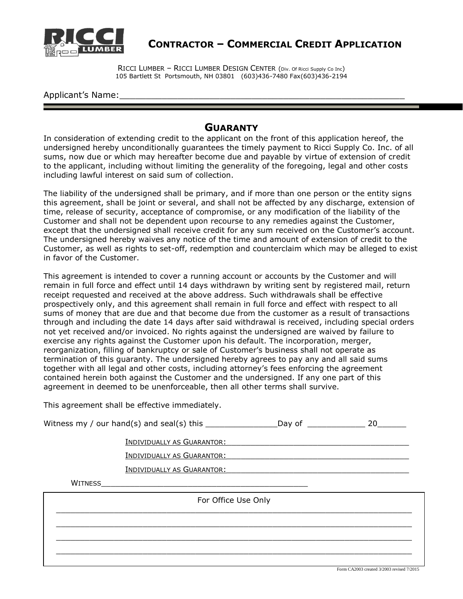

**CONTRACTOR – COMMERCIAL CREDIT APPLICATION**

RICCI LUMBER – RICCI LUMBER DESIGN CENTER (Div. Of Ricci Supply Co Inc) 105 Bartlett St Portsmouth, NH 03801 (603)436-7480 Fax(603)436-2194

Applicant's Name:

#### **GUARANTY**

In consideration of extending credit to the applicant on the front of this application hereof, the undersigned hereby unconditionally guarantees the timely payment to Ricci Supply Co. Inc. of all sums, now due or which may hereafter become due and payable by virtue of extension of credit to the applicant, including without limiting the generality of the foregoing, legal and other costs including lawful interest on said sum of collection.

The liability of the undersigned shall be primary, and if more than one person or the entity signs this agreement, shall be joint or several, and shall not be affected by any discharge, extension of time, release of security, acceptance of compromise, or any modification of the liability of the Customer and shall not be dependent upon recourse to any remedies against the Customer, except that the undersigned shall receive credit for any sum received on the Customer's account. The undersigned hereby waives any notice of the time and amount of extension of credit to the Customer, as well as rights to set-off, redemption and counterclaim which may be alleged to exist in favor of the Customer.

This agreement is intended to cover a running account or accounts by the Customer and will remain in full force and effect until 14 days withdrawn by writing sent by registered mail, return receipt requested and received at the above address. Such withdrawals shall be effective prospectively only, and this agreement shall remain in full force and effect with respect to all sums of money that are due and that become due from the customer as a result of transactions through and including the date 14 days after said withdrawal is received, including special orders not yet received and/or invoiced. No rights against the undersigned are waived by failure to exercise any rights against the Customer upon his default. The incorporation, merger, reorganization, filling of bankruptcy or sale of Customer's business shall not operate as termination of this guaranty. The undersigned hereby agrees to pay any and all said sums together with all legal and other costs, including attorney's fees enforcing the agreement contained herein both against the Customer and the undersigned. If any one part of this agreement in deemed to be unenforceable, then all other terms shall survive.

This agreement shall be effective immediately.

|                     | Witness my / our hand(s) and seal(s) this $\text{________}$ Day of $\text{________}$   |  | 20                                        |  |
|---------------------|----------------------------------------------------------------------------------------|--|-------------------------------------------|--|
|                     | INDIVIDUALLY AS GUARANTOR:<br>INDIVIDUALLY AS GUARANTOR:<br>INDIVIDUALLY AS GUARANTOR: |  |                                           |  |
| WITNESS             |                                                                                        |  |                                           |  |
| For Office Use Only |                                                                                        |  |                                           |  |
|                     |                                                                                        |  |                                           |  |
|                     |                                                                                        |  |                                           |  |
|                     |                                                                                        |  | Form CA2003 created 3/2003 revised 7/2015 |  |